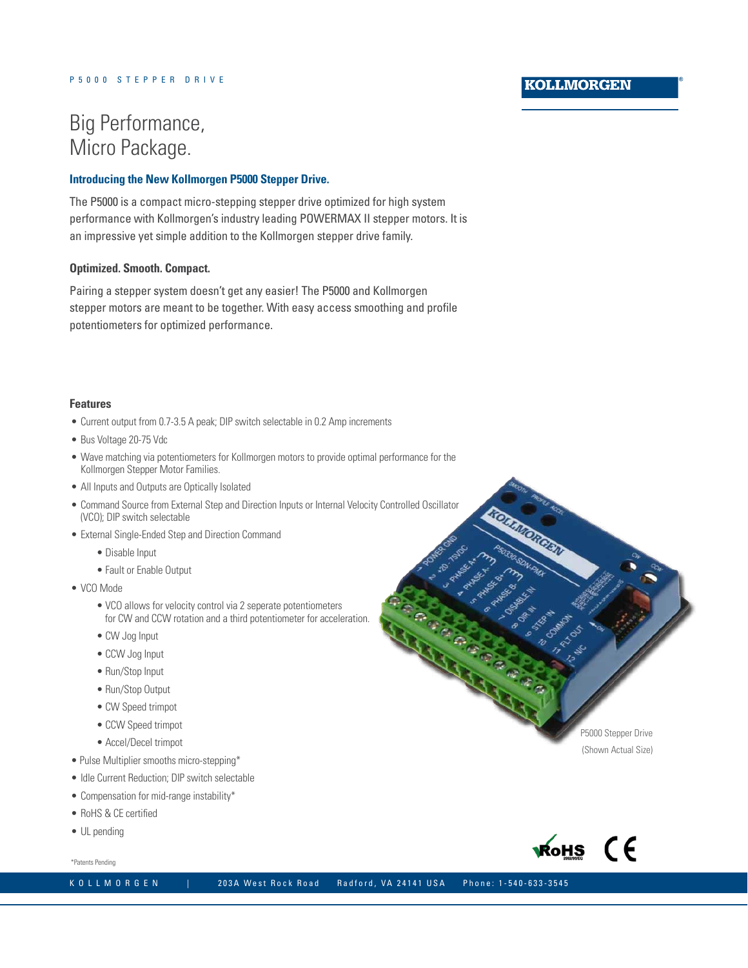### **KOLLMORGEN**

# Big Performance, Micro Package.

#### **Introducing the New Kollmorgen P5000 Stepper Drive.**

The P5000 is a compact micro-stepping stepper drive optimized for high system performance with Kollmorgen's industry leading POWERMAX II stepper motors. It is an impressive yet simple addition to the Kollmorgen stepper drive family.

#### **Optimized. Smooth. Compact.**

Pairing a stepper system doesn't get any easier! The P5000 and Kollmorgen stepper motors are meant to be together. With easy access smoothing and profile potentiometers for optimized performance.

#### **Features**

- Current output from 0.7-3.5 A peak; DIP switch selectable in 0.2 Amp increments
- Bus Voltage 20-75 Vdc
- Wave matching via potentiometers for Kollmorgen motors to provide optimal performance for the Kollmorgen Stepper Motor Families.
- All Inputs and Outputs are Optically Isolated
- Command Source from External Step and Direction Inputs or Internal Velocity Controlled Oscillator (VCO); DIP switch selectable
- External Single-Ended Step and Direction Command
	- Disable Input
	- Fault or Enable Output
- • VCO Mode
	- VCO allows for velocity control via 2 seperate potentiometers for CW and CCW rotation and a third potentiometer for acceleration.
	- CW Jog Input
	- CCW Jog Input
	- Run/Stop Input
	- Run/Stop Output
	- CW Speed trimpot
	- CCW Speed trimpot
	- Accel/Decel trimpot
- Pulse Multiplier smooths micro-stepping\*
- Idle Current Reduction: DIP switch selectable
- Compensation for mid-range instability\*
- • RoHS & CE certified
- UL pending

\*Patents Pending

K O L L M O R G E N | 203A West Rock Road Radford, VA 24141 USA Phone: 1-540-633-3545

P5000 Stepper Drive (Shown Actual Size)



**KOMMONSKI**